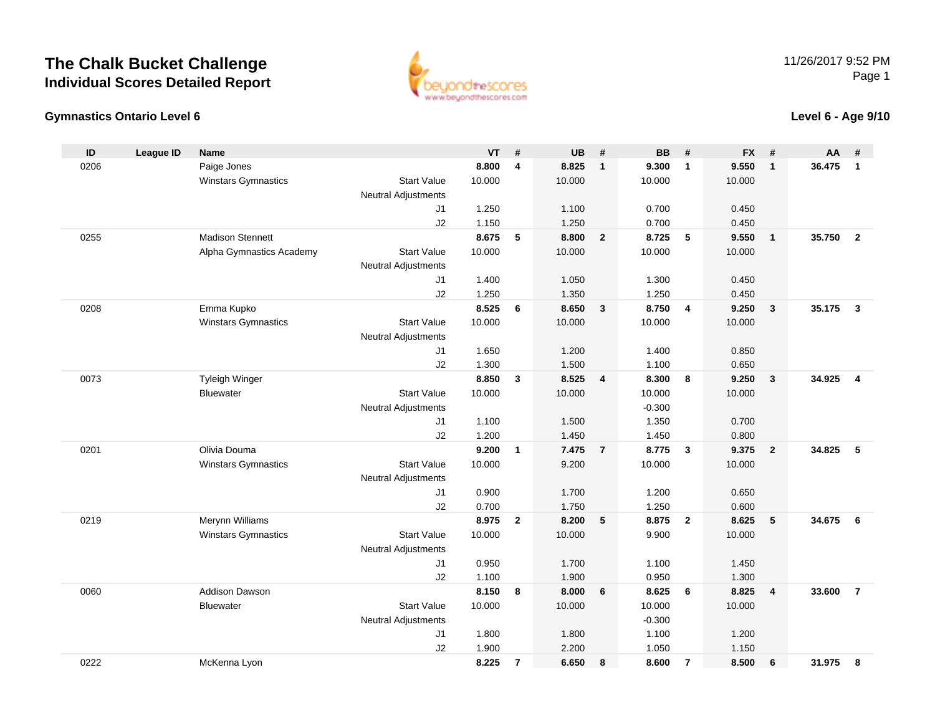

#### **Gymnastics Ontario Level 6**

**Level 6 - Age 9/10**

| ID   | <b>League ID</b> | <b>Name</b>                               |                            | VT              | #              | UB              | #                       | <b>BB</b>          | #                       | <b>FX</b> | #                       | AA     | #                       |
|------|------------------|-------------------------------------------|----------------------------|-----------------|----------------|-----------------|-------------------------|--------------------|-------------------------|-----------|-------------------------|--------|-------------------------|
| 0206 |                  | Paige Jones                               |                            | 8.800           | 4              | 8.825           | $\mathbf{1}$            | 9.300              | $\overline{1}$          | 9.550     | $\overline{1}$          | 36.475 | $\mathbf{1}$            |
|      |                  | <b>Winstars Gymnastics</b>                | <b>Start Value</b>         | 10.000          |                | 10.000          |                         | 10.000             |                         | 10.000    |                         |        |                         |
|      |                  |                                           | <b>Neutral Adjustments</b> |                 |                |                 |                         |                    |                         |           |                         |        |                         |
|      |                  |                                           | J1                         | 1.250           |                | 1.100           |                         | 0.700              |                         | 0.450     |                         |        |                         |
|      |                  |                                           | J2                         | 1.150           |                | 1.250           |                         | 0.700              |                         | 0.450     |                         |        |                         |
| 0255 |                  | <b>Madison Stennett</b>                   |                            | 8.675           | 5              | 8.800           | $\overline{2}$          | 8.725              | $5^{\circ}$             | 9.550     | $\overline{1}$          | 35.750 | $\overline{2}$          |
|      |                  | Alpha Gymnastics Academy                  | <b>Start Value</b>         | 10.000          |                | 10.000          |                         | 10.000             |                         | 10.000    |                         |        |                         |
|      |                  |                                           | <b>Neutral Adjustments</b> |                 |                |                 |                         |                    |                         |           |                         |        |                         |
|      |                  |                                           | J1                         | 1.400           |                | 1.050           |                         | 1.300              |                         | 0.450     |                         |        |                         |
|      |                  |                                           | J2                         | 1.250           |                | 1.350           |                         | 1.250              |                         | 0.450     |                         |        |                         |
| 0208 |                  | Emma Kupko                                |                            | 8.525           | 6              | 8.650           | $\overline{\mathbf{3}}$ | 8.750              | $\overline{4}$          | 9.250     | $\mathbf{3}$            | 35.175 | $\overline{\mathbf{3}}$ |
|      |                  | <b>Winstars Gymnastics</b>                | <b>Start Value</b>         | 10.000          |                | 10.000          |                         | 10.000             |                         | 10.000    |                         |        |                         |
|      |                  |                                           | <b>Neutral Adjustments</b> |                 |                |                 |                         |                    |                         |           |                         |        |                         |
|      |                  |                                           | J1                         | 1.650           |                | 1.200           |                         | 1.400              |                         | 0.850     |                         |        |                         |
|      |                  |                                           | J2                         | 1.300           |                | 1.500           |                         | 1.100              |                         | 0.650     |                         |        |                         |
| 0073 |                  | <b>Tyleigh Winger</b><br><b>Bluewater</b> | <b>Start Value</b>         | 8.850<br>10.000 | $\mathbf{3}$   | 8.525<br>10.000 | $\overline{4}$          | 8.300              | 8                       | 9.250     | $\overline{\mathbf{3}}$ | 34.925 | $\overline{4}$          |
|      |                  |                                           | <b>Neutral Adjustments</b> |                 |                |                 |                         | 10.000<br>$-0.300$ |                         | 10.000    |                         |        |                         |
|      |                  |                                           | J1                         | 1.100           |                | 1.500           |                         | 1.350              |                         | 0.700     |                         |        |                         |
|      |                  |                                           | J2                         | 1.200           |                | 1.450           |                         | 1.450              |                         | 0.800     |                         |        |                         |
| 0201 |                  | Olivia Douma                              |                            | 9.200           | $\mathbf{1}$   | 7.475           | $\overline{7}$          | 8.775              | $\overline{\mathbf{3}}$ | 9.375     | $\overline{2}$          | 34.825 | 5                       |
|      |                  | <b>Winstars Gymnastics</b>                | <b>Start Value</b>         | 10.000          |                | 9.200           |                         | 10.000             |                         | 10.000    |                         |        |                         |
|      |                  |                                           | <b>Neutral Adjustments</b> |                 |                |                 |                         |                    |                         |           |                         |        |                         |
|      |                  |                                           | J <sub>1</sub>             | 0.900           |                | 1.700           |                         | 1.200              |                         | 0.650     |                         |        |                         |
|      |                  |                                           | J2                         | 0.700           |                | 1.750           |                         | 1.250              |                         | 0.600     |                         |        |                         |
| 0219 |                  | Merynn Williams                           |                            | 8.975           | $\overline{2}$ | 8.200           | 5                       | 8.875              | $\overline{2}$          | 8.625     | 5                       | 34.675 | 6                       |
|      |                  | <b>Winstars Gymnastics</b>                | <b>Start Value</b>         | 10.000          |                | 10.000          |                         | 9.900              |                         | 10.000    |                         |        |                         |
|      |                  |                                           | <b>Neutral Adjustments</b> |                 |                |                 |                         |                    |                         |           |                         |        |                         |
|      |                  |                                           | J1                         | 0.950           |                | 1.700           |                         | 1.100              |                         | 1.450     |                         |        |                         |
|      |                  |                                           | J2                         | 1.100           |                | 1.900           |                         | 0.950              |                         | 1.300     |                         |        |                         |
| 0060 |                  | <b>Addison Dawson</b>                     |                            | 8.150           | 8              | 8.000           | 6                       | 8.625              | 6                       | 8.825     | $\overline{4}$          | 33.600 | $\overline{7}$          |
|      |                  | Bluewater                                 | <b>Start Value</b>         | 10.000          |                | 10.000          |                         | 10.000             |                         | 10.000    |                         |        |                         |
|      |                  |                                           | <b>Neutral Adjustments</b> |                 |                |                 |                         | $-0.300$           |                         |           |                         |        |                         |
|      |                  |                                           | J1                         | 1.800           |                | 1.800           |                         | 1.100              |                         | 1.200     |                         |        |                         |
|      |                  |                                           | J2                         | 1.900           |                | 2.200           |                         | 1.050              |                         | 1.150     |                         |        |                         |
| 0222 |                  | McKenna Lyon                              |                            | 8.225           | $\overline{7}$ | 6.650           | 8                       | 8.600              | $\overline{7}$          | 8.500     | 6                       | 31.975 | 8                       |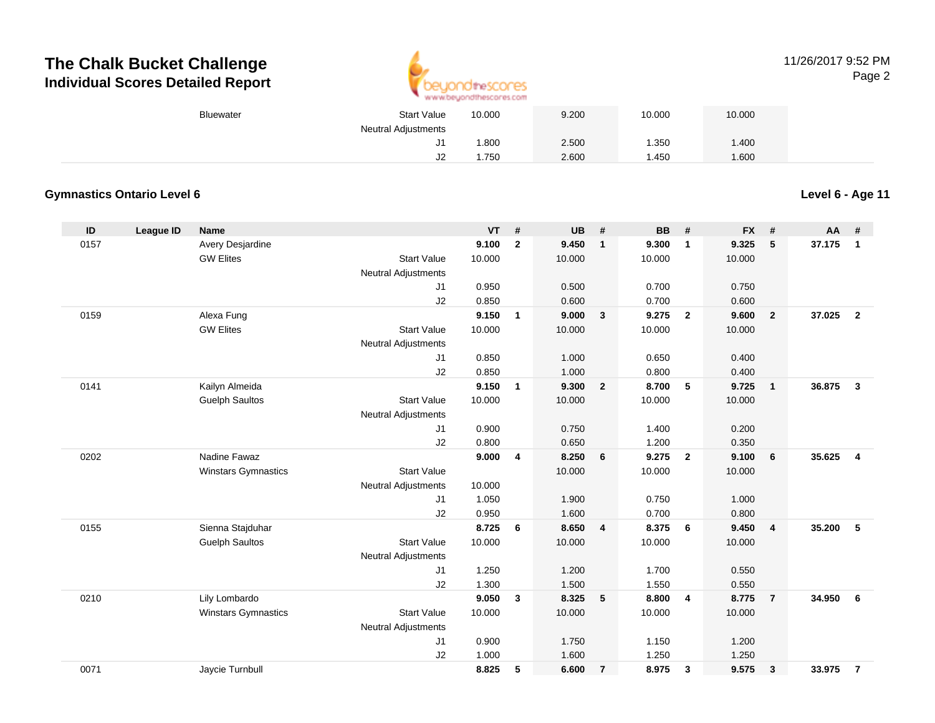

#### 11/26/2017 9:52 PMPage 2

| Bluewater | <b>Start Value</b>         | 10.000 | 9.200 | 10.000 | 10.000 |  |
|-----------|----------------------------|--------|-------|--------|--------|--|
|           | <b>Neutral Adjustments</b> |        |       |        |        |  |
|           | J1                         | .800   | 2.500 | .350   | .400   |  |
|           | $\overline{2}$<br>ےں       | .750   | 2.600 | .450   | 1.600  |  |

### **Gymnastics Ontario Level 6**

| ID   | League ID | <b>Name</b>                |                            | <b>VT</b> | #              | UB     | #                       | <b>BB</b> | #                       | <b>FX</b> | #              | <b>AA</b> | #                       |
|------|-----------|----------------------------|----------------------------|-----------|----------------|--------|-------------------------|-----------|-------------------------|-----------|----------------|-----------|-------------------------|
| 0157 |           | Avery Desjardine           |                            | 9.100     | $\overline{2}$ | 9.450  | $\mathbf{1}$            | 9.300     | $\mathbf{1}$            | 9.325     | 5              | 37.175    | $\mathbf{1}$            |
|      |           | <b>GW Elites</b>           | <b>Start Value</b>         | 10.000    |                | 10.000 |                         | 10.000    |                         | 10.000    |                |           |                         |
|      |           |                            | Neutral Adjustments        |           |                |        |                         |           |                         |           |                |           |                         |
|      |           |                            | J1                         | 0.950     |                | 0.500  |                         | 0.700     |                         | 0.750     |                |           |                         |
|      |           |                            | J2                         | 0.850     |                | 0.600  |                         | 0.700     |                         | 0.600     |                |           |                         |
| 0159 |           | Alexa Fung                 |                            | 9.150     | $\overline{1}$ | 9.000  | $\overline{\mathbf{3}}$ | 9.275     | $\overline{2}$          | 9.600     | $\overline{2}$ | 37.025    | $\overline{2}$          |
|      |           | <b>GW Elites</b>           | <b>Start Value</b>         | 10.000    |                | 10.000 |                         | 10.000    |                         | 10.000    |                |           |                         |
|      |           |                            | <b>Neutral Adjustments</b> |           |                |        |                         |           |                         |           |                |           |                         |
|      |           |                            | J1                         | 0.850     |                | 1.000  |                         | 0.650     |                         | 0.400     |                |           |                         |
|      |           |                            | J2                         | 0.850     |                | 1.000  |                         | 0.800     |                         | 0.400     |                |           |                         |
| 0141 |           | Kailyn Almeida             |                            | 9.150     | $\mathbf{1}$   | 9.300  | $\overline{2}$          | 8.700     | $5\phantom{.0}$         | 9.725     | $\overline{1}$ | 36.875    | $\mathbf{3}$            |
|      |           | <b>Guelph Saultos</b>      | <b>Start Value</b>         | 10.000    |                | 10.000 |                         | 10.000    |                         | 10.000    |                |           |                         |
|      |           |                            | <b>Neutral Adjustments</b> |           |                |        |                         |           |                         |           |                |           |                         |
|      |           |                            | J1                         | 0.900     |                | 0.750  |                         | 1.400     |                         | 0.200     |                |           |                         |
|      |           |                            | J2                         | 0.800     |                | 0.650  |                         | 1.200     |                         | 0.350     |                |           |                         |
| 0202 |           | Nadine Fawaz               |                            | 9.000     | $\overline{4}$ | 8.250  | 6                       | 9.275     | $\overline{\mathbf{2}}$ | 9.100     | 6              | 35.625    | $\overline{\mathbf{4}}$ |
|      |           | <b>Winstars Gymnastics</b> | <b>Start Value</b>         |           |                | 10.000 |                         | 10.000    |                         | 10.000    |                |           |                         |
|      |           |                            | <b>Neutral Adjustments</b> | 10.000    |                |        |                         |           |                         |           |                |           |                         |
|      |           |                            | J1                         | 1.050     |                | 1.900  |                         | 0.750     |                         | 1.000     |                |           |                         |
|      |           |                            | J2                         | 0.950     |                | 1.600  |                         | 0.700     |                         | 0.800     |                |           |                         |
| 0155 |           | Sienna Stajduhar           |                            | 8.725     | 6              | 8.650  | $\overline{4}$          | 8.375     | 6                       | 9.450     | $\overline{4}$ | 35.200    | 5                       |
|      |           | <b>Guelph Saultos</b>      | <b>Start Value</b>         | 10.000    |                | 10.000 |                         | 10.000    |                         | 10.000    |                |           |                         |
|      |           |                            | <b>Neutral Adjustments</b> |           |                |        |                         |           |                         |           |                |           |                         |
|      |           |                            | J1                         | 1.250     |                | 1.200  |                         | 1.700     |                         | 0.550     |                |           |                         |
|      |           |                            | J2                         | 1.300     |                | 1.500  |                         | 1.550     |                         | 0.550     |                |           |                         |
| 0210 |           | Lily Lombardo              |                            | 9.050     | $\mathbf{3}$   | 8.325  | 5                       | 8.800     | $\overline{4}$          | 8.775     | $\overline{7}$ | 34.950    | 6                       |
|      |           | <b>Winstars Gymnastics</b> | <b>Start Value</b>         | 10.000    |                | 10.000 |                         | 10.000    |                         | 10.000    |                |           |                         |
|      |           |                            | Neutral Adjustments        |           |                |        |                         |           |                         |           |                |           |                         |
|      |           |                            | J1                         | 0.900     |                | 1.750  |                         | 1.150     |                         | 1.200     |                |           |                         |
|      |           |                            | J2                         | 1.000     |                | 1.600  |                         | 1.250     |                         | 1.250     |                |           |                         |
| 0071 |           | Jaycie Turnbull            |                            | 8.825     | 5              | 6.600  | $\overline{7}$          | 8.975     | 3                       | 9.575     | 3              | 33.975    | $\overline{7}$          |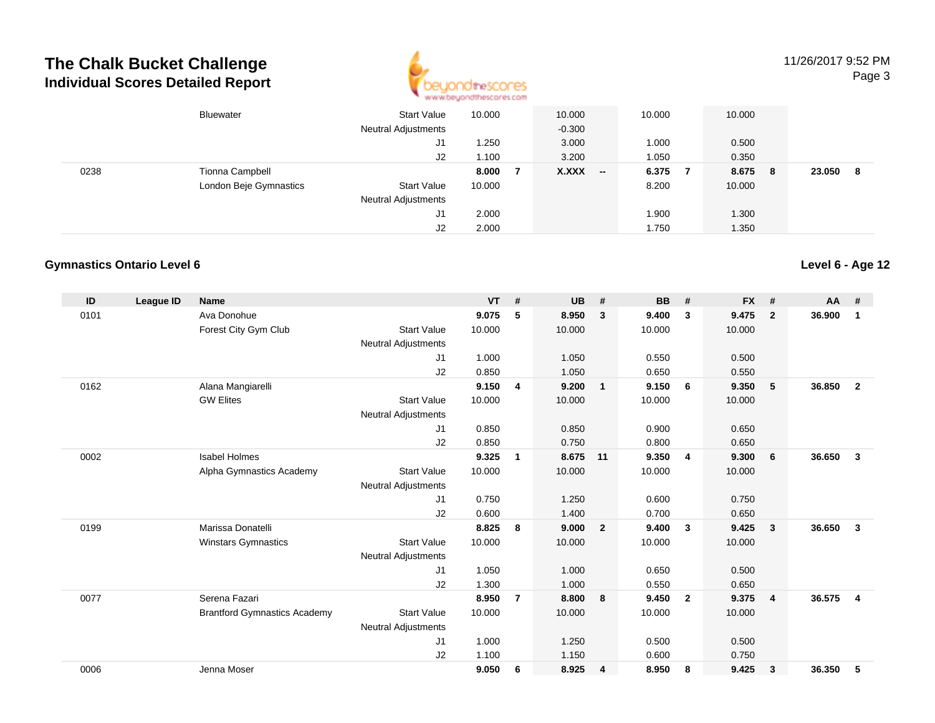

11/26/2017 9:52 PMPage 3

|      | Bluewater              | Start Value<br><b>Neutral Adjustments</b> | 10.000 | 10.000<br>$-0.300$ | 10.000 | 10.000     |        |   |
|------|------------------------|-------------------------------------------|--------|--------------------|--------|------------|--------|---|
|      |                        | J1                                        | .250   | 3.000              | 1.000  | 0.500      |        |   |
|      |                        | J2                                        | 1.100  | 3.200              | 1.050  | 0.350      |        |   |
| 0238 | <b>Tionna Campbell</b> |                                           | 8.000  | $X.XXX$ -          | 6.375  | 8.675<br>8 | 23.050 | 8 |
|      | London Beje Gymnastics | <b>Start Value</b>                        | 10.000 |                    | 8.200  | 10.000     |        |   |
|      |                        | <b>Neutral Adjustments</b>                |        |                    |        |            |        |   |
|      |                        | J1                                        | 2.000  |                    | 1.900  | 1.300      |        |   |
|      |                        | J2                                        | 2.000  |                    | 1.750  | 1.350      |        |   |

#### **Gymnastics Ontario Level 6**

| ID   | League ID | <b>Name</b>                         |                            | <b>VT</b> | #              | <b>UB</b> | #                       | <b>BB</b> | #              | <b>FX</b> | #              | <b>AA</b> | #                       |
|------|-----------|-------------------------------------|----------------------------|-----------|----------------|-----------|-------------------------|-----------|----------------|-----------|----------------|-----------|-------------------------|
| 0101 |           | Ava Donohue                         |                            | 9.075     | 5              | 8.950     | $\mathbf{3}$            | 9.400     | 3              | 9.475     | $\overline{2}$ | 36.900    | 1                       |
|      |           | Forest City Gym Club                | <b>Start Value</b>         | 10.000    |                | 10.000    |                         | 10.000    |                | 10.000    |                |           |                         |
|      |           |                                     | <b>Neutral Adjustments</b> |           |                |           |                         |           |                |           |                |           |                         |
|      |           |                                     | J1                         | 1.000     |                | 1.050     |                         | 0.550     |                | 0.500     |                |           |                         |
|      |           |                                     | J2                         | 0.850     |                | 1.050     |                         | 0.650     |                | 0.550     |                |           |                         |
| 0162 |           | Alana Mangiarelli                   |                            | 9.150     | $\overline{4}$ | 9.200     | $\overline{1}$          | 9.150     | 6              | 9.350     | 5              | 36.850    | $\overline{2}$          |
|      |           | <b>GW Elites</b>                    | <b>Start Value</b>         | 10.000    |                | 10.000    |                         | 10.000    |                | 10.000    |                |           |                         |
|      |           |                                     | <b>Neutral Adjustments</b> |           |                |           |                         |           |                |           |                |           |                         |
|      |           |                                     | J1                         | 0.850     |                | 0.850     |                         | 0.900     |                | 0.650     |                |           |                         |
|      |           |                                     | J2                         | 0.850     |                | 0.750     |                         | 0.800     |                | 0.650     |                |           |                         |
| 0002 |           | <b>Isabel Holmes</b>                |                            | 9.325     | 1              | 8.675     | 11                      | 9.350     | $\overline{4}$ | 9.300     | 6              | 36.650    | 3                       |
|      |           | Alpha Gymnastics Academy            | <b>Start Value</b>         | 10.000    |                | 10.000    |                         | 10.000    |                | 10.000    |                |           |                         |
|      |           |                                     | <b>Neutral Adjustments</b> |           |                |           |                         |           |                |           |                |           |                         |
|      |           |                                     | J <sub>1</sub>             | 0.750     |                | 1.250     |                         | 0.600     |                | 0.750     |                |           |                         |
|      |           |                                     | J2                         | 0.600     |                | 1.400     |                         | 0.700     |                | 0.650     |                |           |                         |
| 0199 |           | Marissa Donatelli                   |                            | 8.825     | 8              | 9.000     | $\overline{\mathbf{2}}$ | 9.400     | 3              | 9.425     | 3              | 36.650    | 3                       |
|      |           | <b>Winstars Gymnastics</b>          | <b>Start Value</b>         | 10.000    |                | 10.000    |                         | 10.000    |                | 10.000    |                |           |                         |
|      |           |                                     | <b>Neutral Adjustments</b> |           |                |           |                         |           |                |           |                |           |                         |
|      |           |                                     | J1                         | 1.050     |                | 1.000     |                         | 0.650     |                | 0.500     |                |           |                         |
|      |           |                                     | J2                         | 1.300     |                | 1.000     |                         | 0.550     |                | 0.650     |                |           |                         |
| 0077 |           | Serena Fazari                       |                            | 8.950     | $\overline{7}$ | 8.800     | 8                       | 9.450     | $\overline{2}$ | 9.375     | $\overline{4}$ | 36.575    | $\overline{\mathbf{4}}$ |
|      |           | <b>Brantford Gymnastics Academy</b> | <b>Start Value</b>         | 10.000    |                | 10.000    |                         | 10.000    |                | 10.000    |                |           |                         |
|      |           |                                     | <b>Neutral Adjustments</b> |           |                |           |                         |           |                |           |                |           |                         |
|      |           |                                     | J <sub>1</sub>             | 1.000     |                | 1.250     |                         | 0.500     |                | 0.500     |                |           |                         |
|      |           |                                     | J2                         | 1.100     |                | 1.150     |                         | 0.600     |                | 0.750     |                |           |                         |
| 0006 |           | Jenna Moser                         |                            | 9.050     | 6              | 8.925     | $\overline{4}$          | 8.950     | -8             | 9.425     | 3              | 36.350    | 5                       |
|      |           |                                     |                            |           |                |           |                         |           |                |           |                |           |                         |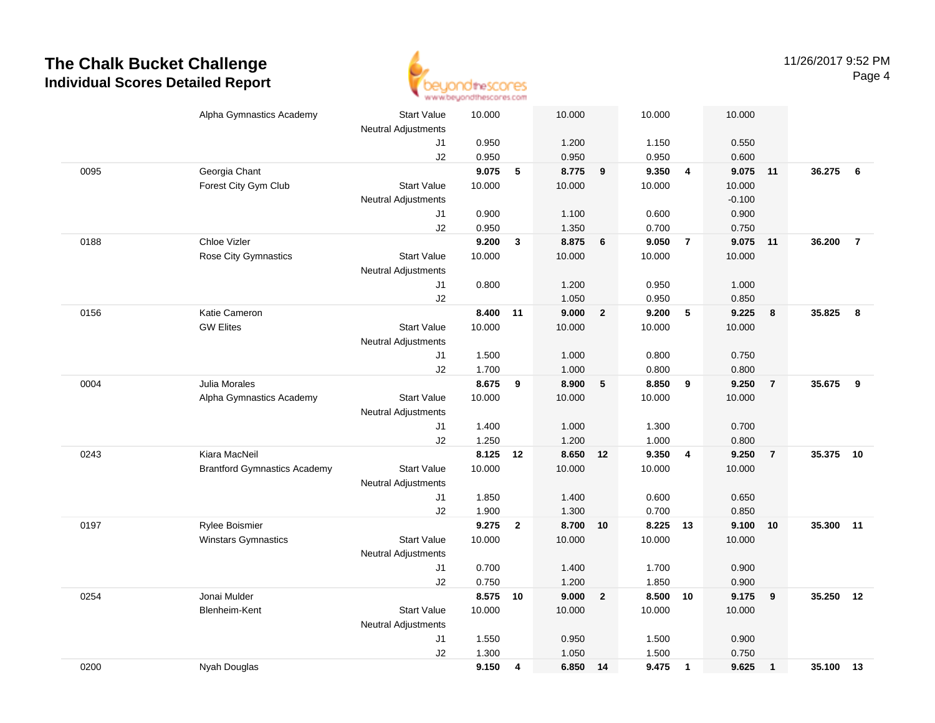

|      | Alpha Gymnastics Academy            | <b>Start Value</b>         | 10.000 |                | 10.000   |                | 10.000   |                         | 10.000   |                |           |                |
|------|-------------------------------------|----------------------------|--------|----------------|----------|----------------|----------|-------------------------|----------|----------------|-----------|----------------|
|      |                                     | Neutral Adjustments        |        |                |          |                |          |                         |          |                |           |                |
|      |                                     | J1                         | 0.950  |                | 1.200    |                | 1.150    |                         | 0.550    |                |           |                |
|      |                                     | J2                         | 0.950  |                | 0.950    |                | 0.950    |                         | 0.600    |                |           |                |
| 0095 | Georgia Chant                       |                            | 9.075  | $\sqrt{5}$     | 8.775    | 9              | 9.350    | $\overline{4}$          | 9.075    | 11             | 36.275    | 6              |
|      | Forest City Gym Club                | <b>Start Value</b>         | 10.000 |                | 10.000   |                | 10.000   |                         | 10.000   |                |           |                |
|      |                                     | Neutral Adjustments        |        |                |          |                |          |                         | $-0.100$ |                |           |                |
|      |                                     | J1                         | 0.900  |                | 1.100    |                | 0.600    |                         | 0.900    |                |           |                |
|      |                                     | J2                         | 0.950  |                | 1.350    |                | 0.700    |                         | 0.750    |                |           |                |
| 0188 | Chloe Vizler                        |                            | 9.200  | 3              | 8.875    | 6              | 9.050    | $\overline{7}$          | 9.075    | 11             | 36.200    | $\overline{7}$ |
|      | Rose City Gymnastics                | <b>Start Value</b>         | 10.000 |                | 10.000   |                | 10.000   |                         | 10.000   |                |           |                |
|      |                                     | <b>Neutral Adjustments</b> |        |                |          |                |          |                         |          |                |           |                |
|      |                                     | J1                         | 0.800  |                | 1.200    |                | 0.950    |                         | 1.000    |                |           |                |
|      |                                     | J2                         |        |                | 1.050    |                | 0.950    |                         | 0.850    |                |           |                |
| 0156 | Katie Cameron                       |                            | 8.400  | 11             | 9.000    | $\overline{2}$ | 9.200    | 5                       | 9.225    | 8              | 35.825    | 8              |
|      | <b>GW Elites</b>                    | <b>Start Value</b>         | 10.000 |                | 10.000   |                | 10.000   |                         | 10.000   |                |           |                |
|      |                                     | Neutral Adjustments        |        |                |          |                |          |                         |          |                |           |                |
|      |                                     | J1                         | 1.500  |                | 1.000    |                | 0.800    |                         | 0.750    |                |           |                |
|      |                                     | J2                         | 1.700  |                | 1.000    |                | 0.800    |                         | 0.800    |                |           |                |
| 0004 | Julia Morales                       |                            | 8.675  | 9              | 8.900    | 5              | 8.850    | 9                       | 9.250    | $\overline{7}$ | 35.675    | -9             |
|      | Alpha Gymnastics Academy            | <b>Start Value</b>         | 10.000 |                | 10.000   |                | 10.000   |                         | 10.000   |                |           |                |
|      |                                     | <b>Neutral Adjustments</b> |        |                |          |                |          |                         |          |                |           |                |
|      |                                     | J1                         | 1.400  |                | 1.000    |                | 1.300    |                         | 0.700    |                |           |                |
|      |                                     | J2                         | 1.250  |                | 1.200    |                | 1.000    |                         | 0.800    |                |           |                |
| 0243 | Kiara MacNeil                       |                            | 8.125  | 12             | 8.650    | 12             | 9.350    | $\overline{4}$          | 9.250    | $\overline{7}$ | 35.375    | 10             |
|      | <b>Brantford Gymnastics Academy</b> | <b>Start Value</b>         | 10.000 |                | 10.000   |                | 10.000   |                         | 10.000   |                |           |                |
|      |                                     | <b>Neutral Adjustments</b> |        |                |          |                |          |                         |          |                |           |                |
|      |                                     | J1                         | 1.850  |                | 1.400    |                | 0.600    |                         | 0.650    |                |           |                |
|      |                                     | J2                         | 1.900  |                | 1.300    |                | 0.700    |                         | 0.850    |                |           |                |
| 0197 | Rylee Boismier                      |                            | 9.275  | $\overline{2}$ | 8.700 10 |                | 8.225 13 |                         | 9.100    | 10             | 35.300 11 |                |
|      | Winstars Gymnastics                 | <b>Start Value</b>         | 10.000 |                | 10.000   |                | 10.000   |                         | 10.000   |                |           |                |
|      |                                     | Neutral Adjustments        |        |                |          |                |          |                         |          |                |           |                |
|      |                                     | J1                         | 0.700  |                | 1.400    |                | 1.700    |                         | 0.900    |                |           |                |
|      |                                     | J2                         | 0.750  |                | 1.200    |                | 1.850    |                         | 0.900    |                |           |                |
| 0254 | Jonai Mulder                        |                            | 8.575  | 10             | 9.000    | $\overline{2}$ | 8.500    | 10                      | 9.175    | 9              | 35.250    | 12             |
|      | <b>Blenheim-Kent</b>                | <b>Start Value</b>         | 10.000 |                | 10.000   |                | 10.000   |                         | 10.000   |                |           |                |
|      |                                     | <b>Neutral Adjustments</b> |        |                |          |                |          |                         |          |                |           |                |
|      |                                     | J1                         | 1.550  |                | 0.950    |                | 1.500    |                         | 0.900    |                |           |                |
|      |                                     | J2                         | 1.300  |                | 1.050    |                | 1.500    |                         | 0.750    |                |           |                |
| 0200 | Nyah Douglas                        |                            | 9.150  | 4              | 6.850 14 |                | 9.475    | $\overline{\mathbf{1}}$ | 9.625    | $\overline{1}$ | 35.100 13 |                |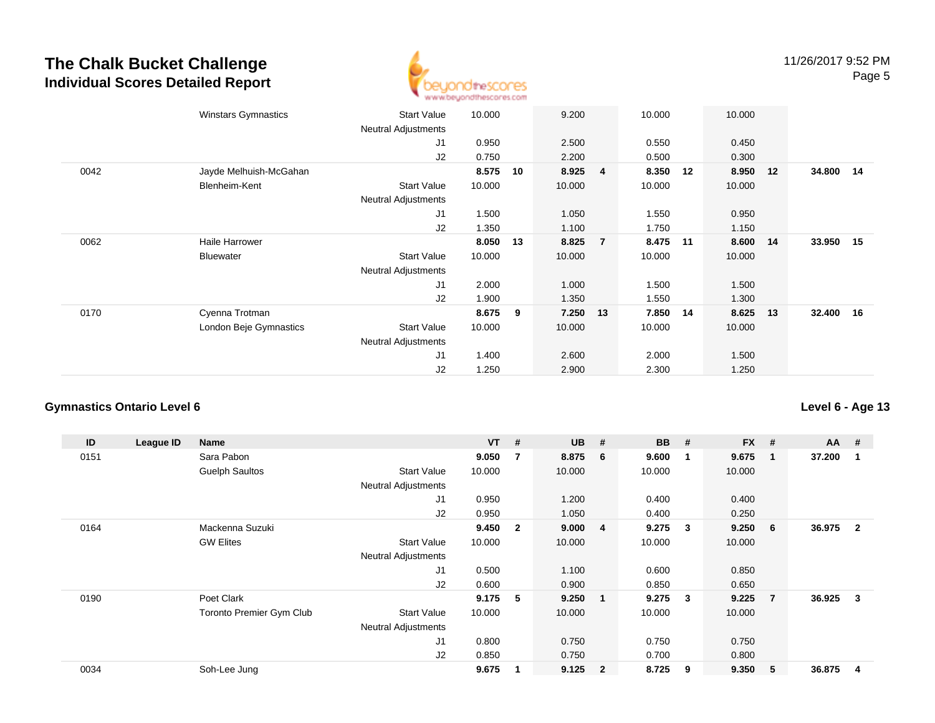

|      | <b>Winstars Gymnastics</b> | <b>Start Value</b><br><b>Neutral Adjustments</b> | 10.000 |    | 9.200  |                | 10.000 |    | 10.000 |    |           |  |
|------|----------------------------|--------------------------------------------------|--------|----|--------|----------------|--------|----|--------|----|-----------|--|
|      |                            | J1                                               | 0.950  |    | 2.500  |                | 0.550  |    | 0.450  |    |           |  |
|      |                            |                                                  |        |    |        |                |        |    |        |    |           |  |
|      |                            | J2                                               | 0.750  |    | 2.200  |                | 0.500  |    | 0.300  |    |           |  |
| 0042 | Jayde Melhuish-McGahan     |                                                  | 8.575  | 10 | 8.925  | $\overline{4}$ | 8.350  | 12 | 8.950  | 12 | 34.800 14 |  |
|      | Blenheim-Kent              | <b>Start Value</b>                               | 10.000 |    | 10.000 |                | 10.000 |    | 10.000 |    |           |  |
|      |                            | Neutral Adjustments                              |        |    |        |                |        |    |        |    |           |  |
|      |                            | J1                                               | 1.500  |    | 1.050  |                | 1.550  |    | 0.950  |    |           |  |
|      |                            | J2                                               | 1.350  |    | 1.100  |                | 1.750  |    | 1.150  |    |           |  |
| 0062 | Haile Harrower             |                                                  | 8.050  | 13 | 8.825  | $\overline{7}$ | 8.475  | 11 | 8.600  | 14 | 33.950 15 |  |
|      | <b>Bluewater</b>           | <b>Start Value</b>                               | 10.000 |    | 10.000 |                | 10.000 |    | 10.000 |    |           |  |
|      |                            | <b>Neutral Adjustments</b>                       |        |    |        |                |        |    |        |    |           |  |
|      |                            | J1                                               | 2.000  |    | 1.000  |                | 1.500  |    | 1.500  |    |           |  |
|      |                            | J2                                               | 1.900  |    | 1.350  |                | 1.550  |    | 1.300  |    |           |  |
| 0170 | Cyenna Trotman             |                                                  | 8.675  | 9  | 7.250  | 13             | 7.850  | 14 | 8.625  | 13 | 32.400 16 |  |
|      | London Beje Gymnastics     | <b>Start Value</b>                               | 10.000 |    | 10.000 |                | 10.000 |    | 10.000 |    |           |  |
|      |                            | <b>Neutral Adjustments</b>                       |        |    |        |                |        |    |        |    |           |  |
|      |                            | J1                                               | 1.400  |    | 2.600  |                | 2.000  |    | 1.500  |    |           |  |
|      |                            | J <sub>2</sub>                                   | 1.250  |    | 2.900  |                | 2.300  |    | 1.250  |    |           |  |
|      |                            |                                                  |        |    |        |                |        |    |        |    |           |  |

#### **Gymnastics Ontario Level 6**

**ID League ID Name VT # UB # BB # FX # AA #** 0151 Sara Pabon **9.050 <sup>7</sup> 8.875 <sup>6</sup> 9.600 <sup>1</sup> 9.675 <sup>1</sup> 37.200 <sup>1</sup>** Guelph Saultos Start Valuee 10.000 10.000 10.000 10.000 Neutral Adjustments J1 0.950 1.200 0.400 0.400 J2 0.950 1.050 0.400 0.250 0164 Mackenna Suzuki **9.450 <sup>2</sup> 9.000 <sup>4</sup> 9.275 <sup>3</sup> 9.250 <sup>6</sup> 36.975 <sup>2</sup>** GW Elites Start Valuee 10.000 10.000 10.000 10.000 Neutral Adjustments J1 0.500 1.100 0.600 0.850 J2 0.600 0.900 0.850 0.650 0190 Poet Clark **9.175 <sup>5</sup> 9.250 <sup>1</sup> 9.275 <sup>3</sup> 9.225 <sup>7</sup> 36.925 <sup>3</sup>** Toronto Premier Gym Clubb 3tart Value 10.000 10.000 10.000 10.000 10.000 Neutral Adjustments J1 0.800 0.750 0.750 0.750 J2 0.850 0.750 0.700 0.800 0034Soh-Lee Jung **9.675 <sup>1</sup> 9.125 <sup>2</sup> 8.725 <sup>9</sup> 9.350 <sup>5</sup> 36.875 <sup>4</sup>**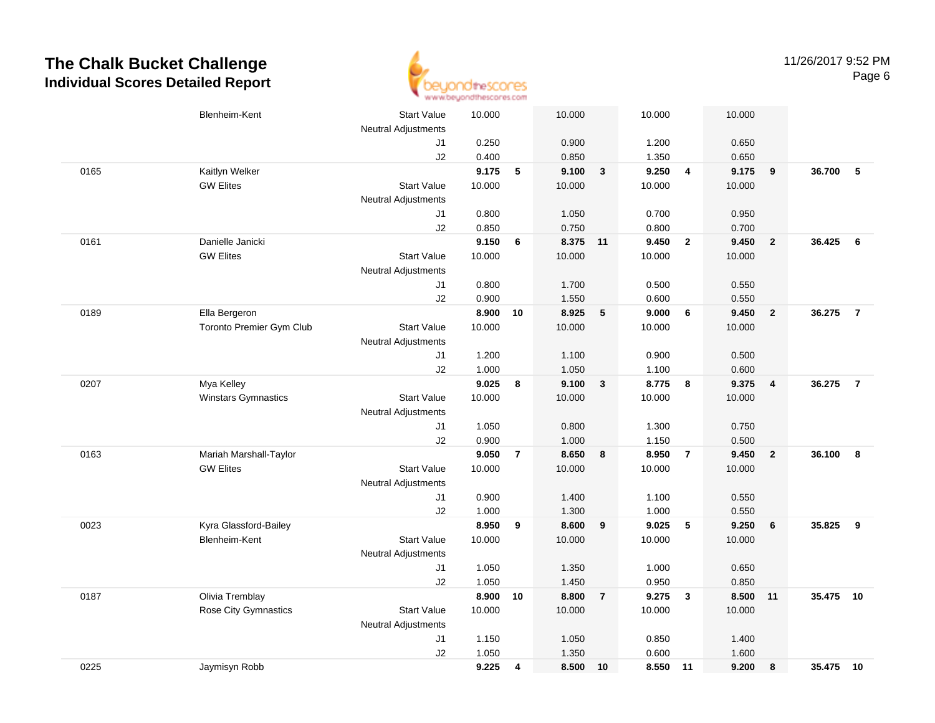

|      | Blenheim-Kent            | <b>Start Value</b>         | 10.000         |                 | 10.000         |                | 10.000         |                         | 10.000            |                         |           |                |
|------|--------------------------|----------------------------|----------------|-----------------|----------------|----------------|----------------|-------------------------|-------------------|-------------------------|-----------|----------------|
|      |                          | <b>Neutral Adjustments</b> |                |                 |                |                |                |                         |                   |                         |           |                |
|      |                          | J1                         | 0.250          |                 | 0.900          |                | 1.200          |                         | 0.650             |                         |           |                |
|      |                          | J2                         | 0.400          |                 | 0.850          |                | 1.350          |                         | 0.650             |                         |           |                |
| 0165 | Kaitlyn Welker           |                            | 9.175          | $5\phantom{.0}$ | 9.100          | $\mathbf{3}$   | 9.250          | $\overline{\mathbf{4}}$ | 9.175             | $\overline{\mathbf{9}}$ | 36.700    | - 5            |
|      | <b>GW Elites</b>         | <b>Start Value</b>         | 10.000         |                 | 10.000         |                | 10.000         |                         | 10.000            |                         |           |                |
|      |                          | Neutral Adjustments        |                |                 |                |                |                |                         |                   |                         |           |                |
|      |                          | J1                         | 0.800          |                 | 1.050          |                | 0.700          |                         | 0.950             |                         |           |                |
|      |                          | J2                         | 0.850          |                 | 0.750          |                | 0.800          |                         | 0.700             |                         |           |                |
| 0161 | Danielle Janicki         |                            | 9.150          | 6               | 8.375 11       |                | 9.450          | $\overline{2}$          | 9.450             | $\overline{2}$          | 36.425    | - 6            |
|      | <b>GW Elites</b>         | <b>Start Value</b>         | 10.000         |                 | 10.000         |                | 10.000         |                         | 10.000            |                         |           |                |
|      |                          | <b>Neutral Adjustments</b> |                |                 |                |                |                |                         |                   |                         |           |                |
|      |                          | J1                         | 0.800          |                 | 1.700          |                | 0.500          |                         | 0.550             |                         |           |                |
|      |                          | J2                         | 0.900          |                 | 1.550          |                | 0.600          |                         | 0.550             |                         |           |                |
| 0189 | Ella Bergeron            |                            | 8.900          | 10              | 8.925          | $\sqrt{5}$     | 9.000          | 6                       | 9.450 2           |                         | 36.275    | $\overline{7}$ |
|      | Toronto Premier Gym Club | <b>Start Value</b>         | 10.000         |                 | 10.000         |                | 10.000         |                         | 10.000            |                         |           |                |
|      |                          | <b>Neutral Adjustments</b> |                |                 |                |                |                |                         |                   |                         |           |                |
|      |                          | J1                         | 1.200          |                 | 1.100          |                | 0.900          |                         | 0.500             |                         |           |                |
|      |                          | J2                         | 1.000          |                 | 1.050          |                | 1.100          |                         | 0.600             |                         |           |                |
| 0207 | Mya Kelley               |                            | 9.025          | 8               | 9.100          | $\overline{3}$ | 8.775          | 8                       | 9.375             | $\overline{4}$          | 36.275    | $\overline{7}$ |
|      | Winstars Gymnastics      | <b>Start Value</b>         | 10.000         |                 | 10.000         |                | 10.000         |                         | 10.000            |                         |           |                |
|      |                          | <b>Neutral Adjustments</b> |                |                 |                |                |                |                         |                   |                         |           |                |
|      |                          | J1                         | 1.050          |                 | 0.800          |                | 1.300          |                         | 0.750             |                         |           |                |
|      |                          | J2                         | 0.900          |                 | 1.000          |                | 1.150          |                         | 0.500             |                         |           |                |
| 0163 | Mariah Marshall-Taylor   |                            | 9.050          | $\overline{7}$  | 8.650          | 8              | 8.950          | $\overline{7}$          | 9.450             | $\overline{\mathbf{2}}$ | 36.100    | 8              |
|      | <b>GW Elites</b>         | <b>Start Value</b>         | 10.000         |                 | 10.000         |                | 10.000         |                         | 10.000            |                         |           |                |
|      |                          | Neutral Adjustments        |                |                 |                |                |                |                         |                   |                         |           |                |
|      |                          | J1                         | 0.900          |                 | 1.400          |                | 1.100          |                         | 0.550             |                         |           |                |
|      |                          | J2                         | 1.000          |                 | 1.300          |                | 1.000          |                         | 0.550             |                         |           |                |
| 0023 | Kyra Glassford-Bailey    |                            | 8.950          | 9               | 8.600          | 9              | 9.025          | 5                       | 9.250             | 6                       | 35.825    | 9              |
|      | <b>Blenheim-Kent</b>     | <b>Start Value</b>         | 10.000         |                 | 10.000         |                | 10.000         |                         | 10.000            |                         |           |                |
|      |                          | Neutral Adjustments        |                |                 |                |                |                |                         |                   |                         |           |                |
|      |                          | J1                         | 1.050          |                 | 1.350          |                | 1.000          |                         | 0.650             |                         |           |                |
|      | Olivia Tremblay          | J2                         | 1.050          |                 | 1.450<br>8.800 | $\overline{7}$ | 0.950<br>9.275 |                         | 0.850<br>8.500 11 |                         | 35.475 10 |                |
| 0187 |                          |                            | 8.900          | 10              |                |                |                | $\mathbf{3}$            |                   |                         |           |                |
|      | Rose City Gymnastics     | <b>Start Value</b>         | 10.000         |                 | 10.000         |                | 10.000         |                         | 10.000            |                         |           |                |
|      |                          | Neutral Adjustments        |                |                 |                |                |                |                         |                   |                         |           |                |
|      |                          | J1<br>J2                   | 1.150<br>1.050 |                 | 1.050<br>1.350 |                | 0.850<br>0.600 |                         | 1.400<br>1.600    |                         |           |                |
| 0225 | Jaymisyn Robb            |                            | 9.225          | 4               | 8.500          | 10             | 8.550 11       |                         | 9.200             | 8                       | 35.475 10 |                |
|      |                          |                            |                |                 |                |                |                |                         |                   |                         |           |                |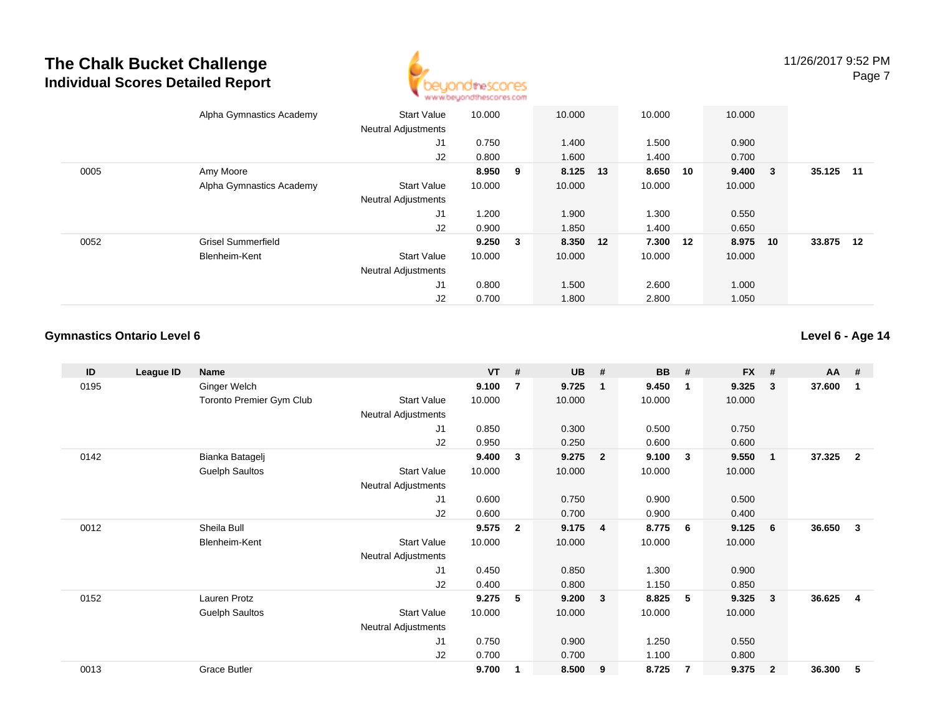

|      | Alpha Gymnastics Academy  | <b>Start Value</b>         | 10.000  |                         | 10.000   | 10.000   |    | 10.000      |    |           |  |
|------|---------------------------|----------------------------|---------|-------------------------|----------|----------|----|-------------|----|-----------|--|
|      |                           | <b>Neutral Adjustments</b> |         |                         |          |          |    |             |    |           |  |
|      |                           | J1                         | 0.750   |                         | 1.400    | 1.500    |    | 0.900       |    |           |  |
|      |                           | J2                         | 0.800   |                         | 1.600    | 1.400    |    | 0.700       |    |           |  |
| 0005 | Amy Moore                 |                            | 8.950 9 |                         | 8.125 13 | 8.650    | 10 | $9.400 \t3$ |    | 35.125 11 |  |
|      | Alpha Gymnastics Academy  | <b>Start Value</b>         | 10.000  |                         | 10.000   | 10.000   |    | 10.000      |    |           |  |
|      |                           | <b>Neutral Adjustments</b> |         |                         |          |          |    |             |    |           |  |
|      |                           | J1                         | 1.200   |                         | 1.900    | 1.300    |    | 0.550       |    |           |  |
|      |                           | J2                         | 0.900   |                         | 1.850    | 1.400    |    | 0.650       |    |           |  |
| 0052 | <b>Grisel Summerfield</b> |                            | 9.250   | $\overline{\mathbf{3}}$ | 8.350 12 | 7.300 12 |    | 8.975       | 10 | 33.875 12 |  |
|      | Blenheim-Kent             | <b>Start Value</b>         | 10.000  |                         | 10.000   | 10.000   |    | 10.000      |    |           |  |
|      |                           | <b>Neutral Adjustments</b> |         |                         |          |          |    |             |    |           |  |
|      |                           | J1                         | 0.800   |                         | 1.500    | 2.600    |    | 1.000       |    |           |  |
|      |                           | J2                         | 0.700   |                         | 1.800    | 2.800    |    | 1.050       |    |           |  |

#### **Gymnastics Ontario Level 6**

| ID   | League ID | <b>Name</b>              |                            | $VT$ # |                | <b>UB</b> | #                       | BB     | #              | <b>FX</b> | #              | <b>AA</b> | #                       |
|------|-----------|--------------------------|----------------------------|--------|----------------|-----------|-------------------------|--------|----------------|-----------|----------------|-----------|-------------------------|
| 0195 |           | Ginger Welch             |                            | 9.100  | $\overline{7}$ | 9.725     | $\mathbf{1}$            | 9.450  | $\mathbf{1}$   | 9.325     | 3              | 37.600    | 1                       |
|      |           | Toronto Premier Gym Club | <b>Start Value</b>         | 10.000 |                | 10.000    |                         | 10.000 |                | 10.000    |                |           |                         |
|      |           |                          | Neutral Adjustments        |        |                |           |                         |        |                |           |                |           |                         |
|      |           |                          | J <sub>1</sub>             | 0.850  |                | 0.300     |                         | 0.500  |                | 0.750     |                |           |                         |
|      |           |                          | J2                         | 0.950  |                | 0.250     |                         | 0.600  |                | 0.600     |                |           |                         |
| 0142 |           | Bianka Batagelj          |                            | 9.400  | 3              | 9.275     | $\overline{2}$          | 9.100  | $\mathbf{3}$   | 9.550     | $\overline{1}$ | 37.325    | $\overline{2}$          |
|      |           | <b>Guelph Saultos</b>    | Start Value                | 10.000 |                | 10.000    |                         | 10.000 |                | 10.000    |                |           |                         |
|      |           |                          | Neutral Adjustments        |        |                |           |                         |        |                |           |                |           |                         |
|      |           |                          | J1                         | 0.600  |                | 0.750     |                         | 0.900  |                | 0.500     |                |           |                         |
|      |           |                          | J2                         | 0.600  |                | 0.700     |                         | 0.900  |                | 0.400     |                |           |                         |
| 0012 |           | Sheila Bull              |                            | 9.575  | $\mathbf{2}$   | 9.175     | $\overline{\mathbf{4}}$ | 8.775  | - 6            | 9.125     | 6              | 36.650    | 3                       |
|      |           | Blenheim-Kent            | <b>Start Value</b>         | 10.000 |                | 10.000    |                         | 10.000 |                | 10.000    |                |           |                         |
|      |           |                          | <b>Neutral Adjustments</b> |        |                |           |                         |        |                |           |                |           |                         |
|      |           |                          | J1                         | 0.450  |                | 0.850     |                         | 1.300  |                | 0.900     |                |           |                         |
|      |           |                          | J2                         | 0.400  |                | 0.800     |                         | 1.150  |                | 0.850     |                |           |                         |
| 0152 |           | Lauren Protz             |                            | 9.275  | 5              | 9.200     | $\mathbf{3}$            | 8.825  | 5              | 9.325     | 3              | 36.625    | $\overline{\mathbf{4}}$ |
|      |           | <b>Guelph Saultos</b>    | <b>Start Value</b>         | 10.000 |                | 10.000    |                         | 10.000 |                | 10.000    |                |           |                         |
|      |           |                          | <b>Neutral Adjustments</b> |        |                |           |                         |        |                |           |                |           |                         |
|      |           |                          | J <sub>1</sub>             | 0.750  |                | 0.900     |                         | 1.250  |                | 0.550     |                |           |                         |
|      |           |                          | J2                         | 0.700  |                | 0.700     |                         | 1.100  |                | 0.800     |                |           |                         |
| 0013 |           | <b>Grace Butler</b>      |                            | 9.700  | 1              | 8.500     | 9                       | 8.725  | $\overline{7}$ | 9.375     | $\overline{2}$ | 36.300    | 5                       |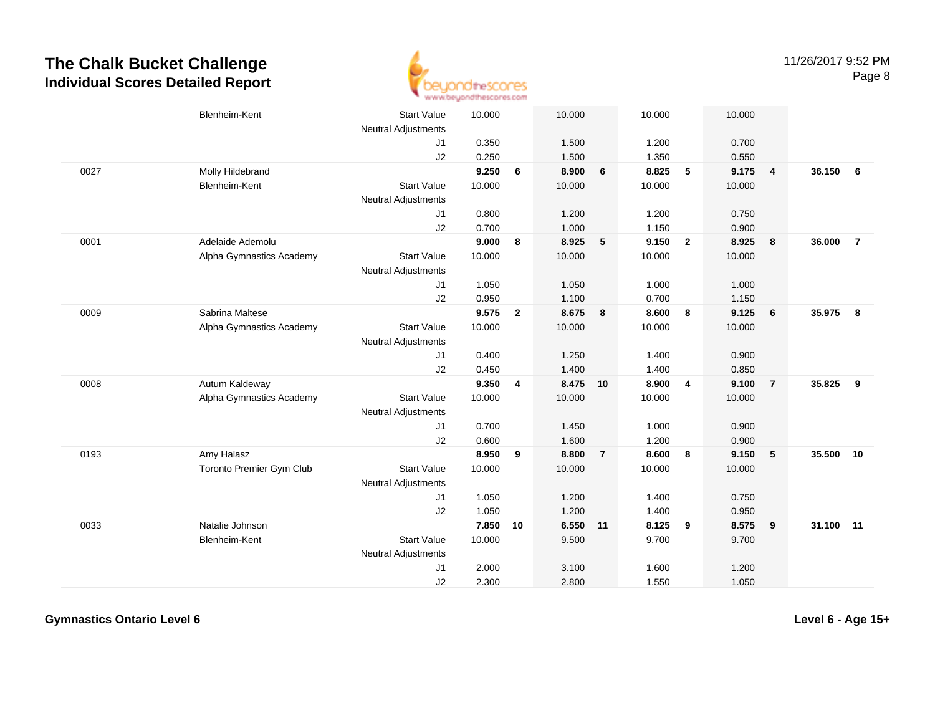

|      | Blenheim-Kent                   | <b>Start Value</b><br><b>Neutral Adjustments</b> | 10.000 |                | 10.000   |                | 10.000 |                         | 10.000 |                         |        |                |
|------|---------------------------------|--------------------------------------------------|--------|----------------|----------|----------------|--------|-------------------------|--------|-------------------------|--------|----------------|
|      |                                 | J1                                               | 0.350  |                | 1.500    |                | 1.200  |                         | 0.700  |                         |        |                |
|      |                                 | J2                                               | 0.250  |                | 1.500    |                | 1.350  |                         | 0.550  |                         |        |                |
| 0027 | Molly Hildebrand                |                                                  | 9.250  | 6              | 8.900    | 6              | 8.825  | $5\phantom{.0}$         | 9.175  | $\overline{\mathbf{4}}$ | 36.150 | 6              |
|      | <b>Blenheim-Kent</b>            | <b>Start Value</b>                               | 10.000 |                | 10.000   |                | 10.000 |                         | 10.000 |                         |        |                |
|      |                                 | <b>Neutral Adjustments</b>                       |        |                |          |                |        |                         |        |                         |        |                |
|      |                                 | J1                                               | 0.800  |                | 1.200    |                | 1.200  |                         | 0.750  |                         |        |                |
|      |                                 | J2                                               | 0.700  |                | 1.000    |                | 1.150  |                         | 0.900  |                         |        |                |
| 0001 | Adelaide Ademolu                |                                                  | 9.000  | 8              | 8.925    | 5              | 9.150  | $\overline{\mathbf{2}}$ | 8.925  | $\overline{\mathbf{8}}$ | 36.000 | $\overline{7}$ |
|      | Alpha Gymnastics Academy        | <b>Start Value</b>                               | 10.000 |                | 10.000   |                | 10.000 |                         | 10.000 |                         |        |                |
|      |                                 | Neutral Adjustments                              |        |                |          |                |        |                         |        |                         |        |                |
|      |                                 | J1                                               | 1.050  |                | 1.050    |                | 1.000  |                         | 1.000  |                         |        |                |
|      |                                 | J2                                               | 0.950  |                | 1.100    |                | 0.700  |                         | 1.150  |                         |        |                |
| 0009 | Sabrina Maltese                 |                                                  | 9.575  | $\overline{2}$ | 8.675    | 8              | 8.600  | 8                       | 9.125  | 6                       | 35.975 | 8              |
|      | Alpha Gymnastics Academy        | <b>Start Value</b>                               | 10.000 |                | 10.000   |                | 10.000 |                         | 10.000 |                         |        |                |
|      |                                 | <b>Neutral Adjustments</b>                       |        |                |          |                |        |                         |        |                         |        |                |
|      |                                 | J1                                               | 0.400  |                | 1.250    |                | 1.400  |                         | 0.900  |                         |        |                |
|      |                                 | J2                                               | 0.450  |                | 1.400    |                | 1.400  |                         | 0.850  |                         |        |                |
| 0008 | Autum Kaldeway                  |                                                  | 9.350  | 4              | 8.475 10 |                | 8.900  | $\overline{4}$          | 9.100  | $\overline{7}$          | 35.825 | 9              |
|      | Alpha Gymnastics Academy        | <b>Start Value</b>                               | 10.000 |                | 10.000   |                | 10.000 |                         | 10.000 |                         |        |                |
|      |                                 | <b>Neutral Adjustments</b>                       |        |                |          |                |        |                         |        |                         |        |                |
|      |                                 | J1                                               | 0.700  |                | 1.450    |                | 1.000  |                         | 0.900  |                         |        |                |
|      |                                 | J2                                               | 0.600  |                | 1.600    |                | 1.200  |                         | 0.900  |                         |        |                |
| 0193 | Amy Halasz                      |                                                  | 8.950  | 9              | 8.800    | $\overline{7}$ | 8.600  | 8                       | 9.150  | $-5$                    | 35.500 | 10             |
|      | <b>Toronto Premier Gym Club</b> | <b>Start Value</b>                               | 10.000 |                | 10.000   |                | 10.000 |                         | 10.000 |                         |        |                |
|      |                                 | <b>Neutral Adjustments</b>                       |        |                |          |                |        |                         |        |                         |        |                |
|      |                                 | J1                                               | 1.050  |                | 1.200    |                | 1.400  |                         | 0.750  |                         |        |                |
|      |                                 | J2                                               | 1.050  |                | 1.200    |                | 1.400  |                         | 0.950  |                         |        |                |
| 0033 | Natalie Johnson                 |                                                  | 7.850  | 10             | 6.550 11 |                | 8.125  | 9                       | 8.575  | $\overline{\mathbf{9}}$ | 31.100 | 11             |
|      | Blenheim-Kent                   | <b>Start Value</b>                               | 10.000 |                | 9.500    |                | 9.700  |                         | 9.700  |                         |        |                |
|      |                                 | <b>Neutral Adjustments</b>                       |        |                |          |                |        |                         |        |                         |        |                |
|      |                                 | J <sub>1</sub>                                   | 2.000  |                | 3.100    |                | 1.600  |                         | 1.200  |                         |        |                |
|      |                                 | J2                                               | 2.300  |                | 2.800    |                | 1.550  |                         | 1.050  |                         |        |                |

**Gymnastics Ontario Level 6**

**Level 6 - Age 15+**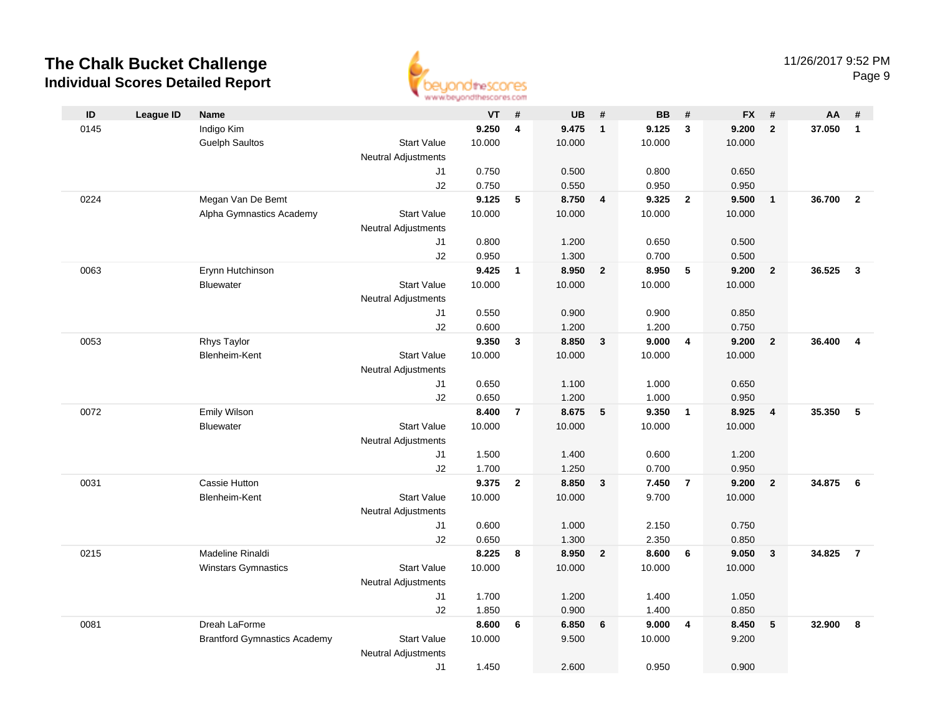

| ID   | <b>League ID</b> | Name                                |                            | VT             | #                       | <b>UB</b>      | #                       | <b>BB</b>      | #               | <b>FX</b>      | #                       | AA     | #              |
|------|------------------|-------------------------------------|----------------------------|----------------|-------------------------|----------------|-------------------------|----------------|-----------------|----------------|-------------------------|--------|----------------|
| 0145 |                  | Indigo Kim                          |                            | 9.250          | $\overline{\mathbf{4}}$ | 9.475          | $\mathbf{1}$            | 9.125          | $\mathbf{3}$    | 9.200          | $\overline{2}$          | 37.050 | $\overline{1}$ |
|      |                  | <b>Guelph Saultos</b>               | <b>Start Value</b>         | 10.000         |                         | 10.000         |                         | 10.000         |                 | 10.000         |                         |        |                |
|      |                  |                                     | <b>Neutral Adjustments</b> |                |                         |                |                         |                |                 |                |                         |        |                |
|      |                  |                                     | J1                         | 0.750          |                         | 0.500          |                         | 0.800          |                 | 0.650          |                         |        |                |
|      |                  |                                     | J2                         | 0.750          |                         | 0.550          |                         | 0.950          |                 | 0.950          |                         |        |                |
| 0224 |                  | Megan Van De Bemt                   |                            | 9.125          | 5                       | 8.750          | $\overline{4}$          | 9.325          | $\overline{2}$  | 9.500          | $\overline{1}$          | 36.700 | $\overline{2}$ |
|      |                  | Alpha Gymnastics Academy            | <b>Start Value</b>         | 10.000         |                         | 10.000         |                         | 10.000         |                 | 10.000         |                         |        |                |
|      |                  |                                     | <b>Neutral Adjustments</b> |                |                         |                |                         |                |                 |                |                         |        |                |
|      |                  |                                     | J1                         | 0.800          |                         | 1.200          |                         | 0.650          |                 | 0.500          |                         |        |                |
|      |                  |                                     | J2                         | 0.950          |                         | 1.300          |                         | 0.700          |                 | 0.500          |                         |        |                |
| 0063 |                  | Erynn Hutchinson                    |                            | 9.425          | $\mathbf{1}$            | 8.950          | $\overline{2}$          | 8.950          | $5\phantom{.0}$ | 9.200          | $\overline{2}$          | 36.525 | $\mathbf{3}$   |
|      |                  | <b>Bluewater</b>                    | <b>Start Value</b>         | 10.000         |                         | 10.000         |                         | 10.000         |                 | 10.000         |                         |        |                |
|      |                  |                                     | <b>Neutral Adjustments</b> |                |                         |                |                         |                |                 |                |                         |        |                |
|      |                  |                                     | J1                         | 0.550          |                         | 0.900          |                         | 0.900          |                 | 0.850          |                         |        |                |
|      |                  |                                     | J2                         | 0.600          |                         | 1.200          |                         | 1.200          |                 | 0.750          |                         |        |                |
| 0053 |                  | Rhys Taylor                         |                            | 9.350          | $\mathbf{3}$            | 8.850          | $\mathbf{3}$            | 9.000          | $\overline{4}$  | 9.200          | $\overline{\mathbf{2}}$ | 36.400 | $\overline{4}$ |
|      |                  | Blenheim-Kent                       | <b>Start Value</b>         | 10.000         |                         | 10.000         |                         | 10.000         |                 | 10.000         |                         |        |                |
|      |                  |                                     | <b>Neutral Adjustments</b> |                |                         |                |                         |                |                 |                |                         |        |                |
|      |                  |                                     | J1                         | 0.650          |                         | 1.100<br>1.200 |                         | 1.000          |                 | 0.650          |                         |        |                |
| 0072 |                  | Emily Wilson                        | J2                         | 0.650<br>8.400 | $\overline{7}$          | 8.675          | 5                       | 1.000<br>9.350 | $\overline{1}$  | 0.950<br>8.925 | $\overline{\mathbf{4}}$ | 35.350 | 5              |
|      |                  | <b>Bluewater</b>                    | <b>Start Value</b>         | 10.000         |                         | 10.000         |                         | 10.000         |                 | 10.000         |                         |        |                |
|      |                  |                                     | <b>Neutral Adjustments</b> |                |                         |                |                         |                |                 |                |                         |        |                |
|      |                  |                                     | J1                         | 1.500          |                         | 1.400          |                         | 0.600          |                 | 1.200          |                         |        |                |
|      |                  |                                     | J2                         | 1.700          |                         | 1.250          |                         | 0.700          |                 | 0.950          |                         |        |                |
| 0031 |                  | Cassie Hutton                       |                            | 9.375          | $\overline{2}$          | 8.850          | $\mathbf{3}$            | 7.450          | $\overline{7}$  | 9.200          | $\overline{\mathbf{2}}$ | 34.875 | - 6            |
|      |                  | Blenheim-Kent                       | <b>Start Value</b>         | 10.000         |                         | 10.000         |                         | 9.700          |                 | 10.000         |                         |        |                |
|      |                  |                                     | <b>Neutral Adjustments</b> |                |                         |                |                         |                |                 |                |                         |        |                |
|      |                  |                                     | J1                         | 0.600          |                         | 1.000          |                         | 2.150          |                 | 0.750          |                         |        |                |
|      |                  |                                     | J2                         | 0.650          |                         | 1.300          |                         | 2.350          |                 | 0.850          |                         |        |                |
| 0215 |                  | Madeline Rinaldi                    |                            | 8.225          | 8                       | 8.950          | $\overline{\mathbf{2}}$ | 8.600          | - 6             | 9.050          | $\overline{\mathbf{3}}$ | 34.825 | $\overline{7}$ |
|      |                  | Winstars Gymnastics                 | <b>Start Value</b>         | 10.000         |                         | 10.000         |                         | 10.000         |                 | 10.000         |                         |        |                |
|      |                  |                                     | <b>Neutral Adjustments</b> |                |                         |                |                         |                |                 |                |                         |        |                |
|      |                  |                                     | J <sub>1</sub>             | 1.700          |                         | 1.200          |                         | 1.400          |                 | 1.050          |                         |        |                |
|      |                  |                                     | J2                         | 1.850          |                         | 0.900          |                         | 1.400          |                 | 0.850          |                         |        |                |
| 0081 |                  | Dreah LaForme                       |                            | 8.600          | 6                       | 6.850          | 6                       | 9.000          | $\overline{4}$  | 8.450          | 5                       | 32.900 | 8              |
|      |                  | <b>Brantford Gymnastics Academy</b> | <b>Start Value</b>         | 10.000         |                         | 9.500          |                         | 10.000         |                 | 9.200          |                         |        |                |
|      |                  |                                     | <b>Neutral Adjustments</b> |                |                         |                |                         |                |                 |                |                         |        |                |
|      |                  |                                     | J1                         | 1.450          |                         | 2.600          |                         | 0.950          |                 | 0.900          |                         |        |                |
|      |                  |                                     |                            |                |                         |                |                         |                |                 |                |                         |        |                |